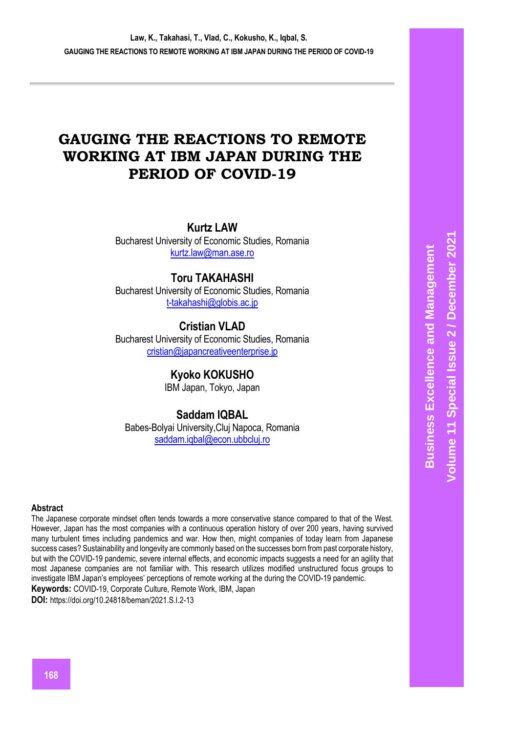# **GAUGING THE REACTIONS TO REMOTE WORKING AT IBM JAPAN DURING THE PERIOD OF COVID-19**

**Kurtz LAW**

Bucharest University of Economic Studies, Romania [kurtz.law@man.ase.ro](mailto:kurtz.law@man.ase.ro)

# **Toru TAKAHASHI**

Bucharest University of Economic Studies, Romania [t-takahashi@globis.ac.jp](mailto:t-takahashi@globis.ac.jp)

# **Cristian VLAD**

Bucharest University of Economic Studies, Romania [cristian@japancreativeenterprise.jp](mailto:cristian@japancreativeenterprise.jp)

# **Kyoko KOKUSHO**

IBM Japan, Tokyo, Japan

# **Saddam IQBAL**

Babes-Bolyai University,Cluj Napoca, Romania [saddam.iqbal@econ.ubbcluj.ro](mailto:saddam.iqbal@econ.ubbcluj.ro)

#### **Abstract**

The Japanese corporate mindset often tends towards a more conservative stance compared to that of the West. However, Japan has the most companies with a continuous operation history of over 200 years, having survived many turbulent times including pandemics and war. How then, might companies of today learn from Japanese success cases? Sustainability and longevity are commonly based on the successes born from past corporate history, but with the COVID-19 pandemic, severe internal effects, and economic impacts suggests a need for an agility that most Japanese companies are not familiar with. This research utilizes modified unstructured focus groups to investigate IBM Japan's employees' perceptions of remote working at the during the COVID-19 pandemic. **Keywords:** COVID-19, Corporate Culture, Remote Work, IBM, Japan

**DOI:** https://doi.org/10.24818/beman/2021.S.I.2-13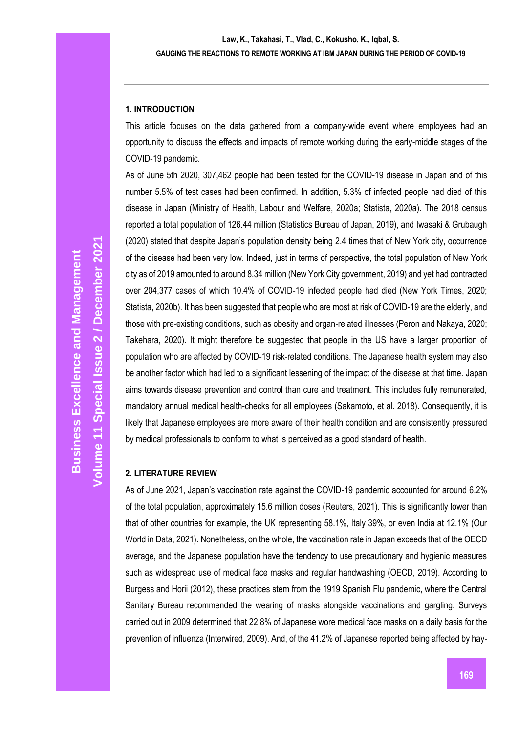### **1. INTRODUCTION**

This article focuses on the data gathered from a company-wide event where employees had an opportunity to discuss the effects and impacts of remote working during the early-middle stages of the COVID-19 pandemic.

As of June 5th 2020, 307,462 people had been tested for the COVID-19 disease in Japan and of this number 5.5% of test cases had been confirmed. In addition, 5.3% of infected people had died of this disease in Japan (Ministry of Health, Labour and Welfare, 2020a; Statista, 2020a). The 2018 census reported a total population of 126.44 million (Statistics Bureau of Japan, 2019), and Iwasaki & Grubaugh (2020) stated that despite Japan's population density being 2.4 times that of New York city, occurrence of the disease had been very low. Indeed, just in terms of perspective, the total population of New York city as of 2019 amounted to around 8.34 million (New York City government, 2019) and yet had contracted over 204,377 cases of which 10.4% of COVID-19 infected people had died (New York Times, 2020; Statista, 2020b). It has been suggested that people who are most at risk of COVID-19 are the elderly, and those with pre-existing conditions, such as obesity and organ-related illnesses (Peron and Nakaya, 2020; Takehara, 2020). It might therefore be suggested that people in the US have a larger proportion of population who are affected by COVID-19 risk-related conditions. The Japanese health system may also be another factor which had led to a significant lessening of the impact of the disease at that time. Japan aims towards disease prevention and control than cure and treatment. This includes fully remunerated, mandatory annual medical health-checks for all employees (Sakamoto, et al. 2018). Consequently, it is likely that Japanese employees are more aware of their health condition and are consistently pressured by medical professionals to conform to what is perceived as a good standard of health.

# **2. LITERATURE REVIEW**

As of June 2021, Japan's vaccination rate against the COVID-19 pandemic accounted for around 6.2% of the total population, approximately 15.6 million doses (Reuters, 2021). This is significantly lower than that of other countries for example, the UK representing 58.1%, Italy 39%, or even India at 12.1% (Our World in Data, 2021). Nonetheless, on the whole, the vaccination rate in Japan exceeds that of the OECD average, and the Japanese population have the tendency to use precautionary and hygienic measures such as widespread use of medical face masks and regular handwashing (OECD, 2019). According to Burgess and Horii (2012), these practices stem from the 1919 Spanish Flu pandemic, where the Central Sanitary Bureau recommended the wearing of masks alongside vaccinations and gargling. Surveys carried out in 2009 determined that 22.8% of Japanese wore medical face masks on a daily basis for the prevention of influenza (Interwired, 2009). And, of the 41.2% of Japanese reported being affected by hay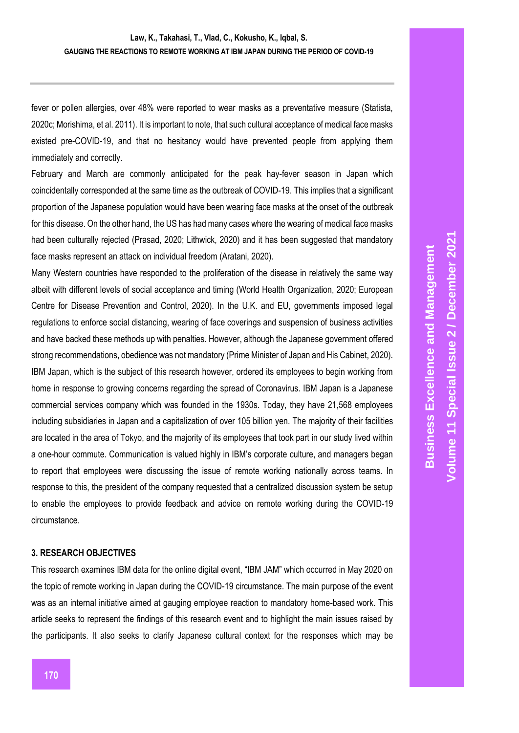fever or pollen allergies, over 48% were reported to wear masks as a preventative measure (Statista, 2020c; Morishima, et al. 2011). It is important to note, that such cultural acceptance of medical face masks existed pre-COVID-19, and that no hesitancy would have prevented people from applying them immediately and correctly.

February and March are commonly anticipated for the peak hay-fever season in Japan which coincidentally corresponded at the same time as the outbreak of COVID-19. This implies that a significant proportion of the Japanese population would have been wearing face masks at the onset of the outbreak for this disease. On the other hand, the US has had many cases where the wearing of medical face masks had been culturally rejected (Prasad, 2020; Lithwick, 2020) and it has been suggested that mandatory face masks represent an attack on individual freedom (Aratani, 2020).

Many Western countries have responded to the proliferation of the disease in relatively the same way albeit with different levels of social acceptance and timing (World Health Organization, 2020; European Centre for Disease Prevention and Control, 2020). In the U.K. and EU, governments imposed legal regulations to enforce social distancing, wearing of face coverings and suspension of business activities and have backed these methods up with penalties. However, although the Japanese government offered strong recommendations, obedience was not mandatory (Prime Minister of Japan and His Cabinet, 2020). IBM Japan, which is the subject of this research however, ordered its employees to begin working from home in response to growing concerns regarding the spread of Coronavirus. IBM Japan is a Japanese commercial services company which was founded in the 1930s. Today, they have 21,568 employees including subsidiaries in Japan and a capitalization of over 105 billion yen. The majority of their facilities are located in the area of Tokyo, and the majority of its employees that took part in our study lived within a one-hour commute. Communication is valued highly in IBM's corporate culture, and managers began to report that employees were discussing the issue of remote working nationally across teams. In response to this, the president of the company requested that a centralized discussion system be setup to enable the employees to provide feedback and advice on remote working during the COVID-19 circumstance.

#### **3. RESEARCH OBJECTIVES**

This research examines IBM data for the online digital event, "IBM JAM" which occurred in May 2020 on the topic of remote working in Japan during the COVID-19 circumstance. The main purpose of the event was as an internal initiative aimed at gauging employee reaction to mandatory home-based work. This article seeks to represent the findings of this research event and to highlight the main issues raised by the participants. It also seeks to clarify Japanese cultural context for the responses which may be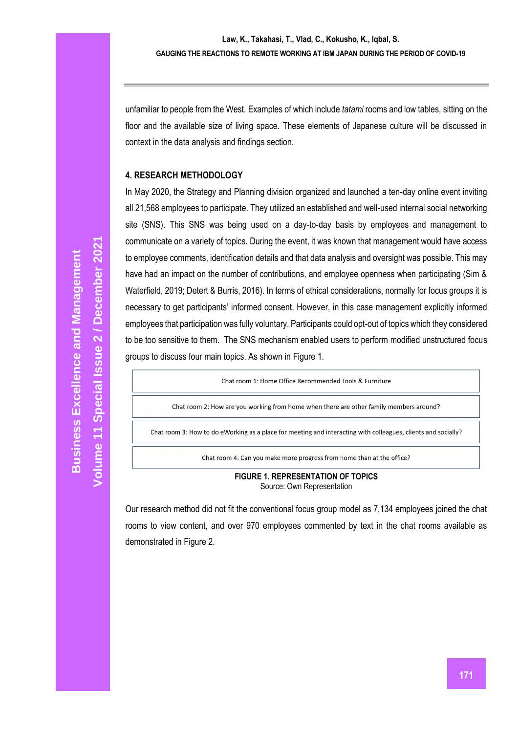unfamiliar to people from the West. Examples of which include *tatami* rooms and low tables, sitting on the floor and the available size of living space. These elements of Japanese culture will be discussed in context in the data analysis and findings section.

### **4. RESEARCH METHODOLOGY**

In May 2020, the Strategy and Planning division organized and launched a ten-day online event inviting all 21,568 employees to participate. They utilized an established and well-used internal social networking site (SNS). This SNS was being used on a day-to-day basis by employees and management to communicate on a variety of topics. During the event, it was known that management would have access to employee comments, identification details and that data analysis and oversight was possible. This may have had an impact on the number of contributions, and employee openness when participating (Sim & Waterfield, 2019; Detert & Burris, 2016). In terms of ethical considerations, normally for focus groups it is necessary to get participants' informed consent. However, in this case management explicitly informed employees that participation was fully voluntary. Participants could opt-out of topics which they considered to be too sensitive to them. The SNS mechanism enabled users to perform modified unstructured focus groups to discuss four main topics. As shown in Figure 1.

Chat room 1: Home Office Recommended Tools & Furniture

Chat room 2: How are you working from home when there are other family members around?

Chat room 3: How to do eWorking as a place for meeting and interacting with colleagues, clients and socially?

Chat room 4: Can you make more progress from home than at the office?

#### **FIGURE 1. REPRESENTATION OF TOPICS** Source: Own Representation

Our research method did not fit the conventional focus group model as 7,134 employees joined the chat rooms to view content, and over 970 employees commented by text in the chat rooms available as demonstrated in Figure 2.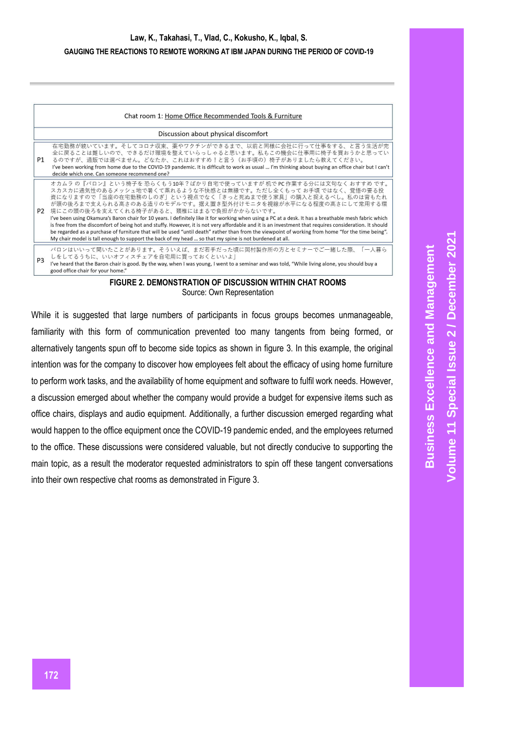|                                      | Chat room 1: Home Office Recommended Tools & Furniture                                                                                                                                                                                                                                                                                                                                                                                                                                                                                                                                                                                                                                                                                                                                                                                                                                    |
|--------------------------------------|-------------------------------------------------------------------------------------------------------------------------------------------------------------------------------------------------------------------------------------------------------------------------------------------------------------------------------------------------------------------------------------------------------------------------------------------------------------------------------------------------------------------------------------------------------------------------------------------------------------------------------------------------------------------------------------------------------------------------------------------------------------------------------------------------------------------------------------------------------------------------------------------|
| Discussion about physical discomfort |                                                                                                                                                                                                                                                                                                                                                                                                                                                                                                                                                                                                                                                                                                                                                                                                                                                                                           |
| P1                                   | 在宅勤務が続いています。そしてコロナ収束、薬やワクチンができるまで、以前と同様に会社に行って仕事をする、と言う生活が完<br>全に戻ることは難しいので、できるだけ環境を整えていらっしゃると思います。私もこの機会に仕事用に椅子を買おうかと思ってい<br>るのですが、通販では選べません。どなたか、これはおすすめ!と言う(お手頃の)椅子がありましたら教えてください。<br>I've been working from home due to the COVID-19 pandemic. It is difficult to work as usual  I'm thinking about buying an office chair but I can't<br>decide which one. Can someone recommend one?                                                                                                                                                                                                                                                                                                                                                                                                                                                                                                |
| P <sub>2</sub>                       | オカムラの『バロン』という椅子を恐らくもう10年?ばかり自宅で使っていますが机で PC 作業する分には文句なくおすすめです。<br>スカスカに通気性のあるメッシュ地で暑くて蒸れるような不快感とは無縁です。ただし全くもって お手頃 ではなく、覚悟の要る投<br>資になりますので「当座の在宅勤務のしのぎ」という視点でなく「きっと死ぬまで使う家具」の購入と捉えるべし。私のは背もたれ<br>が頭の後ろまで支えられる高さのある造りのモデルです。据え置き型外付けモニタを視線が水平になる程度の高さにして常用する環<br>境にこの頭の後ろを支えてくれる椅子があると、頚椎にはまるで負担がかからないです。<br>I've been using Okamura's Baron chair for 10 years. I definitely like it for working when using a PC at a desk. It has a breathable mesh fabric which<br>is free from the discomfort of being hot and stuffy. However, it is not very affordable and it is an investment that requires consideration. It should<br>be regarded as a purchase of furniture that will be used "until death" rather than from the viewpoint of working from home "for the time being".<br>My chair model is tall enough to support the back of my head  so that my spine is not burdened at all. |
| P <sub>3</sub>                       | バロンはいいって聞いたことがあります。そういえば、まだ若手だった頃に岡村製作所の方とセミナーでご一緒した際、「一人暮ら<br>しをしてるうちに、いいオフィスチェアを自宅用に買っておくといいよ <br>I've heard that the Baron chair is good. By the way, when I was young, I went to a seminar and was told, "While living alone, you should buy a<br>good office chair for your home."                                                                                                                                                                                                                                                                                                                                                                                                                                                                                                                                                                                                   |

#### **FIGURE 2. DEMONSTRATION OF DISCUSSION WITHIN CHAT ROOMS** Source: Own Representation

While it is suggested that large numbers of participants in focus groups becomes unmanageable, familiarity with this form of communication prevented too many tangents from being formed, or alternatively tangents spun off to become side topics as shown in figure 3. In this example, the original intention was for the company to discover how employees felt about the efficacy of using home furniture to perform work tasks, and the availability of home equipment and software to fulfil work needs. However, a discussion emerged about whether the company would provide a budget for expensive items such as office chairs, displays and audio equipment. Additionally, a further discussion emerged regarding what would happen to the office equipment once the COVID-19 pandemic ended, and the employees returned to the office. These discussions were considered valuable, but not directly conducive to supporting the main topic, as a result the moderator requested administrators to spin off these tangent conversations into their own respective chat rooms as demonstrated in Figure 3.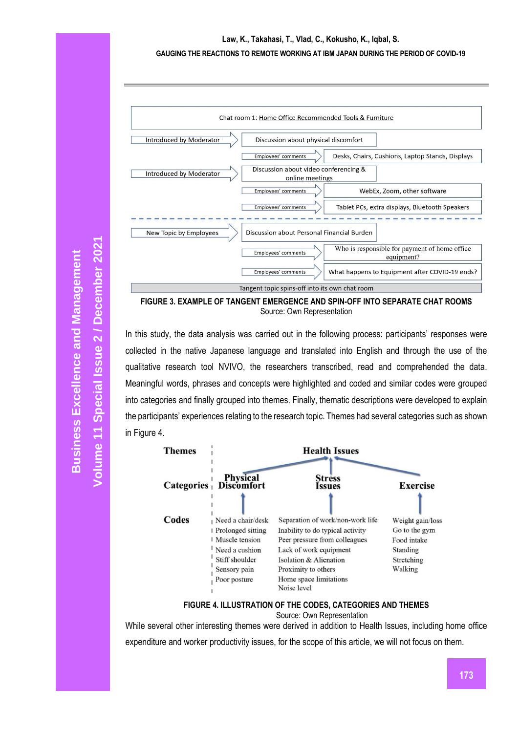# **Law, K., Takahasi, T., Vlad, C., Kokusho, K., Iqbal, S.**

#### **GAUGING THE REACTIONS TO REMOTE WORKING AT IBM JAPAN DURING THE PERIOD OF COVID-19**



**FIGURE 3. EXAMPLE OF TANGENT EMERGENCE AND SPIN-OFF INTO SEPARATE CHAT ROOMS** Source: Own Representation

In this study, the data analysis was carried out in the following process: participants' responses were collected in the native Japanese language and translated into English and through the use of the qualitative research tool NVIVO, the researchers transcribed, read and comprehended the data. Meaningful words, phrases and concepts were highlighted and coded and similar codes were grouped into categories and finally grouped into themes. Finally, thematic descriptions were developed to explain the participants' experiences relating to the research topic. Themes had several categories such as shown in Figure 4.



# **FIGURE 4. ILLUSTRATION OF THE CODES, CATEGORIES AND THEMES**

Source: Own Representation

While several other interesting themes were derived in addition to Health Issues, including home office expenditure and worker productivity issues, for the scope of this article, we will not focus on them.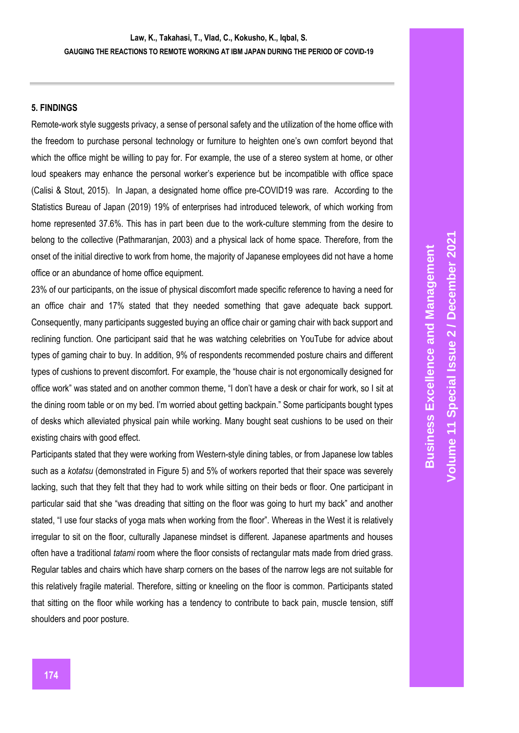### **5. FINDINGS**

Remote-work style suggests privacy, a sense of personal safety and the utilization of the home office with the freedom to purchase personal technology or furniture to heighten one's own comfort beyond that which the office might be willing to pay for. For example, the use of a stereo system at home, or other loud speakers may enhance the personal worker's experience but be incompatible with office space (Calisi & Stout, 2015). In Japan, a designated home office pre-COVID19 was rare. According to the Statistics Bureau of Japan (2019) 19% of enterprises had introduced telework, of which working from home represented 37.6%. This has in part been due to the work-culture stemming from the desire to belong to the collective (Pathmaranjan, 2003) and a physical lack of home space. Therefore, from the onset of the initial directive to work from home, the majority of Japanese employees did not have a home office or an abundance of home office equipment.

23% of our participants, on the issue of physical discomfort made specific reference to having a need for an office chair and 17% stated that they needed something that gave adequate back support. Consequently, many participants suggested buying an office chair or gaming chair with back support and reclining function. One participant said that he was watching celebrities on YouTube for advice about types of gaming chair to buy. In addition, 9% of respondents recommended posture chairs and different types of cushions to prevent discomfort. For example, the "house chair is not ergonomically designed for office work" was stated and on another common theme, "I don't have a desk or chair for work, so I sit at the dining room table or on my bed. I'm worried about getting backpain." Some participants bought types of desks which alleviated physical pain while working. Many bought seat cushions to be used on their existing chairs with good effect.

Participants stated that they were working from Western-style dining tables, or from Japanese low tables such as a *kotatsu* (demonstrated in Figure 5) and 5% of workers reported that their space was severely lacking, such that they felt that they had to work while sitting on their beds or floor. One participant in particular said that she "was dreading that sitting on the floor was going to hurt my back" and another stated, "I use four stacks of yoga mats when working from the floor". Whereas in the West it is relatively irregular to sit on the floor, culturally Japanese mindset is different. Japanese apartments and houses often have a traditional *tatami* room where the floor consists of rectangular mats made from dried grass. Regular tables and chairs which have sharp corners on the bases of the narrow legs are not suitable for this relatively fragile material. Therefore, sitting or kneeling on the floor is common. Participants stated that sitting on the floor while working has a tendency to contribute to back pain, muscle tension, stiff shoulders and poor posture.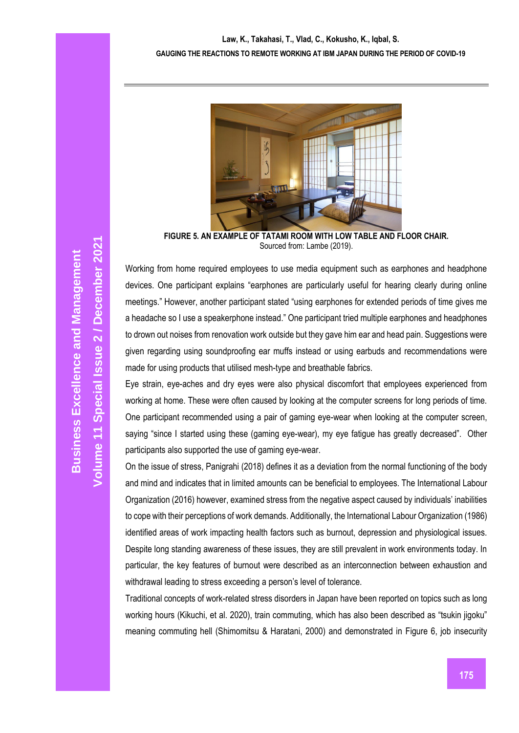

**FIGURE 5. AN EXAMPLE OF TATAMI ROOM WITH LOW TABLE AND FLOOR CHAIR.** Sourced from: Lambe (2019).

Working from home required employees to use media equipment such as earphones and headphone devices. One participant explains "earphones are particularly useful for hearing clearly during online meetings." However, another participant stated "using earphones for extended periods of time gives me a headache so I use a speakerphone instead." One participant tried multiple earphones and headphones to drown out noises from renovation work outside but they gave him ear and head pain. Suggestions were given regarding using soundproofing ear muffs instead or using earbuds and recommendations were made for using products that utilised mesh-type and breathable fabrics.

Eye strain, eye-aches and dry eyes were also physical discomfort that employees experienced from working at home. These were often caused by looking at the computer screens for long periods of time. One participant recommended using a pair of gaming eye-wear when looking at the computer screen, saying "since I started using these (gaming eye-wear), my eye fatigue has greatly decreased". Other participants also supported the use of gaming eye-wear.

On the issue of stress, Panigrahi (2018) defines it as a deviation from the normal functioning of the body and mind and indicates that in limited amounts can be beneficial to employees. The International Labour Organization (2016) however, examined stress from the negative aspect caused by individuals' inabilities to cope with their perceptions of work demands. Additionally, the International Labour Organization (1986) identified areas of work impacting health factors such as burnout, depression and physiological issues. Despite long standing awareness of these issues, they are still prevalent in work environments today. In particular, the key features of burnout were described as an interconnection between exhaustion and withdrawal leading to stress exceeding a person's level of tolerance.

Traditional concepts of work-related stress disorders in Japan have been reported on topics such as long working hours (Kikuchi, et al. 2020), train commuting, which has also been described as "tsukin jigoku" meaning commuting hell (Shimomitsu & Haratani, 2000) and demonstrated in Figure 6, job insecurity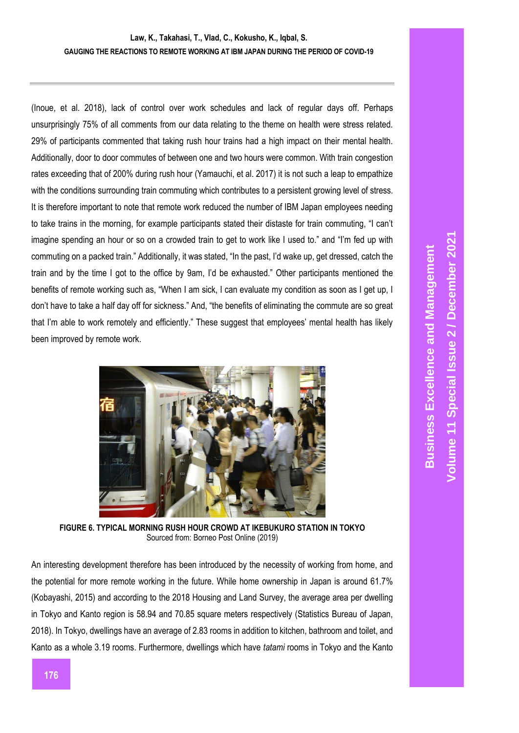(Inoue, et al. 2018), lack of control over work schedules and lack of regular days off. Perhaps unsurprisingly 75% of all comments from our data relating to the theme on health were stress related. 29% of participants commented that taking rush hour trains had a high impact on their mental health. Additionally, door to door commutes of between one and two hours were common. With train congestion rates exceeding that of 200% during rush hour (Yamauchi, et al. 2017) it is not such a leap to empathize with the conditions surrounding train commuting which contributes to a persistent growing level of stress. It is therefore important to note that remote work reduced the number of IBM Japan employees needing to take trains in the morning, for example participants stated their distaste for train commuting, "I can't imagine spending an hour or so on a crowded train to get to work like I used to." and "I'm fed up with commuting on a packed train." Additionally, it was stated, "In the past, I'd wake up, get dressed, catch the train and by the time I got to the office by 9am, I'd be exhausted." Other participants mentioned the benefits of remote working such as, "When I am sick, I can evaluate my condition as soon as I get up, I don't have to take a half day off for sickness." And, "the benefits of eliminating the commute are so great that I'm able to work remotely and efficiently." These suggest that employees' mental health has likely been improved by remote work.



**FIGURE 6. TYPICAL MORNING RUSH HOUR CROWD AT IKEBUKURO STATION IN TOKYO** Sourced from: Borneo Post Online (2019)

An interesting development therefore has been introduced by the necessity of working from home, and the potential for more remote working in the future. While home ownership in Japan is around 61.7% (Kobayashi, 2015) and according to the 2018 Housing and Land Survey, the average area per dwelling in Tokyo and Kanto region is 58.94 and 70.85 square meters respectively (Statistics Bureau of Japan, 2018). In Tokyo, dwellings have an average of 2.83 rooms in addition to kitchen, bathroom and toilet, and Kanto as a whole 3.19 rooms. Furthermore, dwellings which have *tatami* rooms in Tokyo and the Kanto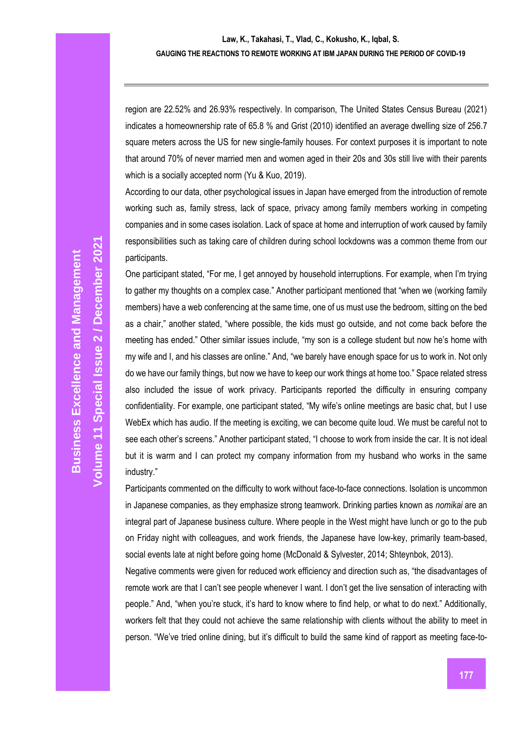region are 22.52% and 26.93% respectively. In comparison, The United States Census Bureau (2021) indicates a homeownership rate of 65.8 % and Grist (2010) identified an average dwelling size of 256.7 square meters across the US for new single-family houses. For context purposes it is important to note that around 70% of never married men and women aged in their 20s and 30s still live with their parents which is a socially accepted norm (Yu & Kuo, 2019).

According to our data, other psychological issues in Japan have emerged from the introduction of remote working such as, family stress, lack of space, privacy among family members working in competing companies and in some cases isolation. Lack of space at home and interruption of work caused by family responsibilities such as taking care of children during school lockdowns was a common theme from our participants.

One participant stated, "For me, I get annoyed by household interruptions. For example, when I'm trying to gather my thoughts on a complex case." Another participant mentioned that "when we (working family members) have a web conferencing at the same time, one of us must use the bedroom, sitting on the bed as a chair," another stated, "where possible, the kids must go outside, and not come back before the meeting has ended." Other similar issues include, "my son is a college student but now he's home with my wife and I, and his classes are online." And, "we barely have enough space for us to work in. Not only do we have our family things, but now we have to keep our work things at home too." Space related stress also included the issue of work privacy. Participants reported the difficulty in ensuring company confidentiality. For example, one participant stated, "My wife's online meetings are basic chat, but I use WebEx which has audio. If the meeting is exciting, we can become quite loud. We must be careful not to see each other's screens." Another participant stated, "I choose to work from inside the car. It is not ideal but it is warm and I can protect my company information from my husband who works in the same industry."

Participants commented on the difficulty to work without face-to-face connections. Isolation is uncommon in Japanese companies, as they emphasize strong teamwork. Drinking parties known as *nomikai* are an integral part of Japanese business culture. Where people in the West might have lunch or go to the pub on Friday night with colleagues, and work friends, the Japanese have low-key, primarily team-based, social events late at night before going home (McDonald & Sylvester, 2014; Shteynbok, 2013).

Negative comments were given for reduced work efficiency and direction such as, "the disadvantages of remote work are that I can't see people whenever I want. I don't get the live sensation of interacting with people." And, "when you're stuck, it's hard to know where to find help, or what to do next." Additionally, workers felt that they could not achieve the same relationship with clients without the ability to meet in person. "We've tried online dining, but it's difficult to build the same kind of rapport as meeting face-to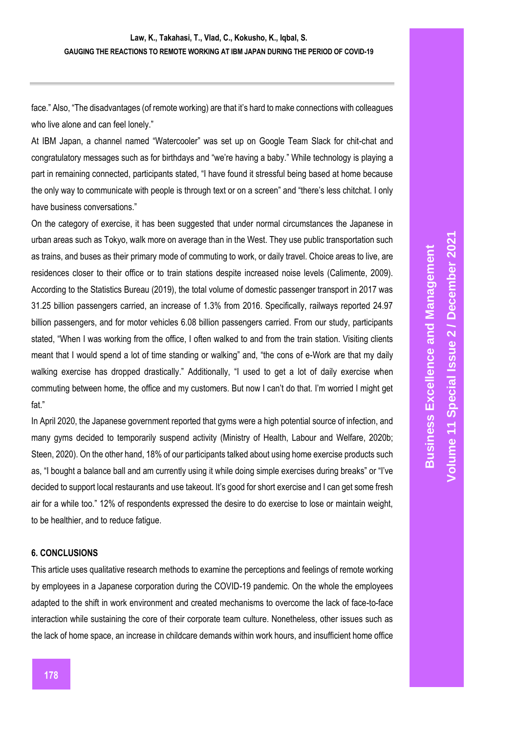face." Also, "The disadvantages (of remote working) are that it's hard to make connections with colleagues who live alone and can feel lonely."

At IBM Japan, a channel named "Watercooler" was set up on Google Team Slack for chit-chat and congratulatory messages such as for birthdays and "we're having a baby." While technology is playing a part in remaining connected, participants stated, "I have found it stressful being based at home because the only way to communicate with people is through text or on a screen" and "there's less chitchat. I only have business conversations."

On the category of exercise, it has been suggested that under normal circumstances the Japanese in urban areas such as Tokyo, walk more on average than in the West. They use public transportation such as trains, and buses as their primary mode of commuting to work, or daily travel. Choice areas to live, are residences closer to their office or to train stations despite increased noise levels (Calimente, 2009). According to the Statistics Bureau (2019), the total volume of domestic passenger transport in 2017 was 31.25 billion passengers carried, an increase of 1.3% from 2016. Specifically, railways reported 24.97 billion passengers, and for motor vehicles 6.08 billion passengers carried. From our study, participants stated, "When I was working from the office, I often walked to and from the train station. Visiting clients meant that I would spend a lot of time standing or walking" and, "the cons of e-Work are that my daily walking exercise has dropped drastically." Additionally, "I used to get a lot of daily exercise when commuting between home, the office and my customers. But now I can't do that. I'm worried I might get fat."

In April 2020, the Japanese government reported that gyms were a high potential source of infection, and many gyms decided to temporarily suspend activity (Ministry of Health, Labour and Welfare, 2020b; Steen, 2020). On the other hand, 18% of our participants talked about using home exercise products such as, "I bought a balance ball and am currently using it while doing simple exercises during breaks" or "I've decided to support local restaurants and use takeout. It's good for short exercise and I can get some fresh air for a while too." 12% of respondents expressed the desire to do exercise to lose or maintain weight, to be healthier, and to reduce fatigue.

#### **6. CONCLUSIONS**

This article uses qualitative research methods to examine the perceptions and feelings of remote working by employees in a Japanese corporation during the COVID-19 pandemic. On the whole the employees adapted to the shift in work environment and created mechanisms to overcome the lack of face-to-face interaction while sustaining the core of their corporate team culture. Nonetheless, other issues such as the lack of home space, an increase in childcare demands within work hours, and insufficient home office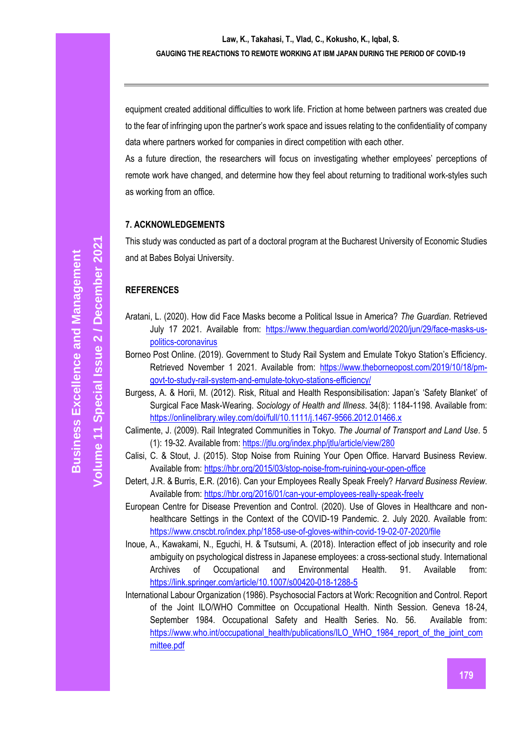equipment created additional difficulties to work life. Friction at home between partners was created due to the fear of infringing upon the partner's work space and issues relating to the confidentiality of company data where partners worked for companies in direct competition with each other.

As a future direction, the researchers will focus on investigating whether employees' perceptions of remote work have changed, and determine how they feel about returning to traditional work-styles such as working from an office.

## **7. ACKNOWLEDGEMENTS**

This study was conducted as part of a doctoral program at the Bucharest University of Economic Studies and at Babes Bolyai University.

# **REFERENCES**

- Aratani, L. (2020). How did Face Masks become a Political Issue in America? *The Guardian*. Retrieved July 17 2021. Available from: [https://www.theguardian.com/world/2020/jun/29/face-masks-us](https://www.theguardian.com/world/2020/jun/29/face-masks-us-politics-coronavirus)[politics-coronavirus](https://www.theguardian.com/world/2020/jun/29/face-masks-us-politics-coronavirus)
- Borneo Post Online. (2019). Government to Study Rail System and Emulate Tokyo Station's Efficiency. Retrieved November 1 2021. Available from: [https://www.theborneopost.com/2019/10/18/pm](https://www.theborneopost.com/2019/10/18/pm-govt-to-study-rail-system-and-emulate-tokyo-stations-efficiency/)[govt-to-study-rail-system-and-emulate-tokyo-stations-efficiency/](https://www.theborneopost.com/2019/10/18/pm-govt-to-study-rail-system-and-emulate-tokyo-stations-efficiency/)
- Burgess, A. & Horii, M. (2012). Risk, Ritual and Health Responsibilisation: Japan's 'Safety Blanket' of Surgical Face Mask-Wearing. *Sociology of Health and Illness*. 34(8): 1184-1198. Available from: <https://onlinelibrary.wiley.com/doi/full/10.1111/j.1467-9566.2012.01466.x>
- Calimente, J. (2009). Rail Integrated Communities in Tokyo. *The Journal of Transport and Land Use*. 5 (1): 19-32. Available from[: https://jtlu.org/index.php/jtlu/article/view/280](https://jtlu.org/index.php/jtlu/article/view/280)
- Calisi, C. & Stout, J. (2015). Stop Noise from Ruining Your Open Office. Harvard Business Review. Available from:<https://hbr.org/2015/03/stop-noise-from-ruining-your-open-office>
- Detert, J.R. & Burris, E.R. (2016). Can your Employees Really Speak Freely? *Harvard Business Review*. Available from:<https://hbr.org/2016/01/can-your-employees-really-speak-freely>
- European Centre for Disease Prevention and Control. (2020). Use of Gloves in Healthcare and nonhealthcare Settings in the Context of the COVID-19 Pandemic. 2. July 2020. Available from: <https://www.cnscbt.ro/index.php/1858-use-of-gloves-within-covid-19-02-07-2020/file>
- Inoue, A., Kawakami, N., Eguchi, H. & Tsutsumi, A. (2018). Interaction effect of job insecurity and role ambiguity on psychological distress in Japanese employees: a cross-sectional study. International Archives of Occupational and Environmental Health. 91. Available from: <https://link.springer.com/article/10.1007/s00420-018-1288-5>
- International Labour Organization (1986). Psychosocial Factors at Work: Recognition and Control. Report of the Joint ILO/WHO Committee on Occupational Health. Ninth Session. Geneva 18-24, September 1984. Occupational Safety and Health Series. No. 56. Available from: [https://www.who.int/occupational\\_health/publications/ILO\\_WHO\\_1984\\_report\\_of\\_the\\_joint\\_com](https://www.who.int/occupational_health/publications/ILO_WHO_1984_report_of_the_joint_committee.pdf) [mittee.pdf](https://www.who.int/occupational_health/publications/ILO_WHO_1984_report_of_the_joint_committee.pdf)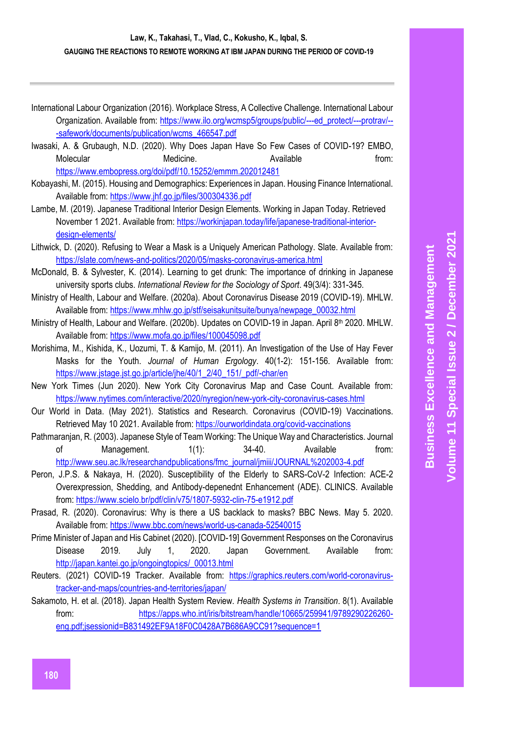International Labour Organization (2016). Workplace Stress, A Collective Challenge. International Labour Organization. Available from: [https://www.ilo.org/wcmsp5/groups/public/---ed\\_protect/---protrav/--](https://www.ilo.org/wcmsp5/groups/public/---ed_protect/---protrav/---safework/documents/publication/wcms_466547.pdf) [-safework/documents/publication/wcms\\_466547.pdf](https://www.ilo.org/wcmsp5/groups/public/---ed_protect/---protrav/---safework/documents/publication/wcms_466547.pdf)

- Iwasaki, A. & Grubaugh, N.D. (2020). Why Does Japan Have So Few Cases of COVID-19? EMBO, Molecular **Medicine.** Medicine. Available **Molecular** from: <https://www.embopress.org/doi/pdf/10.15252/emmm.202012481>
- Kobayashi, M. (2015). Housing and Demographics: Experiences in Japan. Housing Finance International. Available from:<https://www.jhf.go.jp/files/300304336.pdf>
- Lambe, M. (2019). Japanese Traditional Interior Design Elements. Working in Japan Today. Retrieved November 1 2021. Available from: [https://workinjapan.today/life/japanese-traditional-interior](https://workinjapan.today/life/japanese-traditional-interior-design-elements/)[design-elements/](https://workinjapan.today/life/japanese-traditional-interior-design-elements/)
- Lithwick, D. (2020). Refusing to Wear a Mask is a Uniquely American Pathology. Slate. Available from: <https://slate.com/news-and-politics/2020/05/masks-coronavirus-america.html>
- McDonald, B. & Sylvester, K. (2014). Learning to get drunk: The importance of drinking in Japanese university sports clubs. *International Review for the Sociology of Sport*. 49(3/4): 331-345.
- Ministry of Health, Labour and Welfare. (2020a). About Coronavirus Disease 2019 (COVID-19). MHLW. Available from: [https://www.mhlw.go.jp/stf/seisakunitsuite/bunya/newpage\\_00032.html](https://www.mhlw.go.jp/stf/seisakunitsuite/bunya/newpage_00032.html)
- Ministry of Health, Labour and Welfare. (2020b). Updates on COVID-19 in Japan. April 8th 2020. MHLW. Available from:<https://www.mofa.go.jp/files/100045098.pdf>
- Morishima, M., Kishida, K., Uozumi, T. & Kamijo, M. (2011). An Investigation of the Use of Hay Fever Masks for the Youth. *Journal of Human Ergology*. 40(1-2): 151-156. Available from: [https://www.jstage.jst.go.jp/article/jhe/40/1\\_2/40\\_151/\\_pdf/-char/en](https://www.jstage.jst.go.jp/article/jhe/40/1_2/40_151/_pdf/-char/en)
- New York Times (Jun 2020). New York City Coronavirus Map and Case Count. Available from: <https://www.nytimes.com/interactive/2020/nyregion/new-york-city-coronavirus-cases.html>
- Our World in Data. (May 2021). Statistics and Research. Coronavirus (COVID-19) Vaccinations. Retrieved May 10 2021. Available from:<https://ourworldindata.org/covid-vaccinations>
- Pathmaranjan, R. (2003). Japanese Style of Team Working: The Unique Way and Characteristics. Journal of Management. 1(1): 34-40. Available from: [http://www.seu.ac.lk/researchandpublications/fmc\\_journal/jmiii/JOURNAL%202003-4.pdf](http://www.seu.ac.lk/researchandpublications/fmc_journal/jmiii/JOURNAL%202003-4.pdf)
- Peron, J.P.S. & Nakaya, H. (2020). Susceptibility of the Elderly to SARS-CoV-2 Infection: ACE-2 Overexpression, Shedding, and Antibody-depenednt Enhancement (ADE). CLINICS. Available from:<https://www.scielo.br/pdf/clin/v75/1807-5932-clin-75-e1912.pdf>
- Prasad, R. (2020). Coronavirus: Why is there a US backlack to masks? BBC News. May 5. 2020. Available from:<https://www.bbc.com/news/world-us-canada-52540015>
- Prime Minister of Japan and His Cabinet (2020). [COVID-19] Government Responses on the Coronavirus Disease 2019. July 1, 2020. Japan Government. Available from: [http://japan.kantei.go.jp/ongoingtopics/\\_00013.html](http://japan.kantei.go.jp/ongoingtopics/_00013.html)
- Reuters. (2021) COVID-19 Tracker. Available from: [https://graphics.reuters.com/world-coronavirus](https://graphics.reuters.com/world-coronavirus-tracker-and-maps/countries-and-territories/japan/)[tracker-and-maps/countries-and-territories/japan/](https://graphics.reuters.com/world-coronavirus-tracker-and-maps/countries-and-territories/japan/)
- Sakamoto, H. et al. (2018). Japan Health System Review. *Health Systems in Transition*. 8(1). Available from: [https://apps.who.int/iris/bitstream/handle/10665/259941/9789290226260](https://apps.who.int/iris/bitstream/handle/10665/259941/9789290226260-eng.pdf;jsessionid=B831492EF9A18F0C0428A7B686A9CC91?sequence=1) [eng.pdf;jsessionid=B831492EF9A18F0C0428A7B686A9CC91?sequence=1](https://apps.who.int/iris/bitstream/handle/10665/259941/9789290226260-eng.pdf;jsessionid=B831492EF9A18F0C0428A7B686A9CC91?sequence=1)